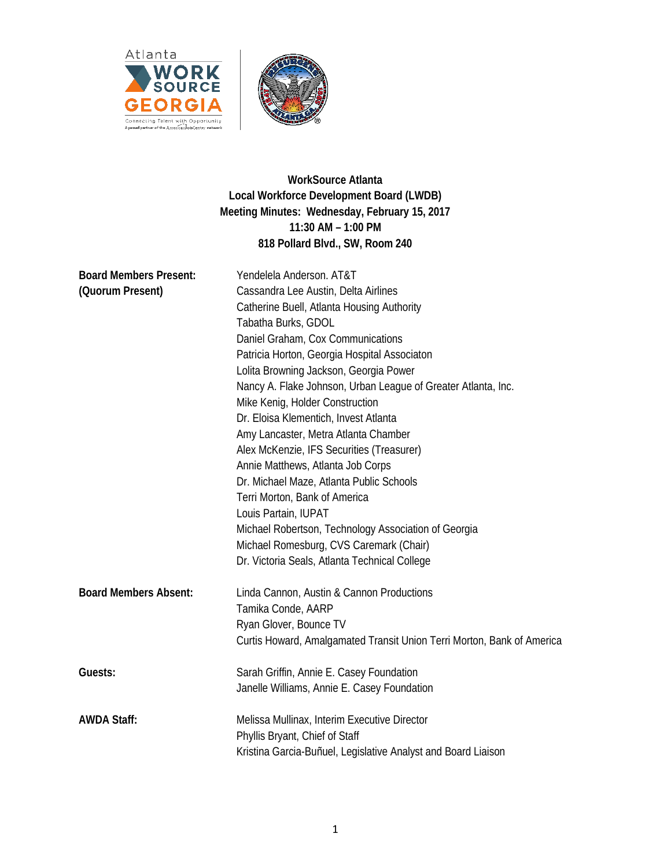



**WorkSource Atlanta Local Workforce Development Board (LWDB) Meeting Minutes: Wednesday, February 15, 2017 11:30 AM – 1:00 PM 818 Pollard Blvd., SW, Room 240**

| <b>Board Members Present:</b><br>(Quorum Present) | Yendelela Anderson. AT&T<br>Cassandra Lee Austin, Delta Airlines<br>Catherine Buell, Atlanta Housing Authority<br>Tabatha Burks, GDOL<br>Daniel Graham, Cox Communications<br>Patricia Horton, Georgia Hospital Associaton<br>Lolita Browning Jackson, Georgia Power<br>Nancy A. Flake Johnson, Urban League of Greater Atlanta, Inc.<br>Mike Kenig, Holder Construction<br>Dr. Eloisa Klementich, Invest Atlanta<br>Amy Lancaster, Metra Atlanta Chamber<br>Alex McKenzie, IFS Securities (Treasurer)<br>Annie Matthews, Atlanta Job Corps<br>Dr. Michael Maze, Atlanta Public Schools<br>Terri Morton, Bank of America<br>Louis Partain, IUPAT<br>Michael Robertson, Technology Association of Georgia<br>Michael Romesburg, CVS Caremark (Chair)<br>Dr. Victoria Seals, Atlanta Technical College |
|---------------------------------------------------|------------------------------------------------------------------------------------------------------------------------------------------------------------------------------------------------------------------------------------------------------------------------------------------------------------------------------------------------------------------------------------------------------------------------------------------------------------------------------------------------------------------------------------------------------------------------------------------------------------------------------------------------------------------------------------------------------------------------------------------------------------------------------------------------------|
| <b>Board Members Absent:</b>                      | Linda Cannon, Austin & Cannon Productions<br>Tamika Conde, AARP<br>Ryan Glover, Bounce TV<br>Curtis Howard, Amalgamated Transit Union Terri Morton, Bank of America                                                                                                                                                                                                                                                                                                                                                                                                                                                                                                                                                                                                                                  |
| Guests:                                           | Sarah Griffin, Annie E. Casey Foundation<br>Janelle Williams, Annie E. Casey Foundation                                                                                                                                                                                                                                                                                                                                                                                                                                                                                                                                                                                                                                                                                                              |
| <b>AWDA Staff:</b>                                | Melissa Mullinax, Interim Executive Director<br>Phyllis Bryant, Chief of Staff<br>Kristina Garcia-Buñuel, Legislative Analyst and Board Liaison                                                                                                                                                                                                                                                                                                                                                                                                                                                                                                                                                                                                                                                      |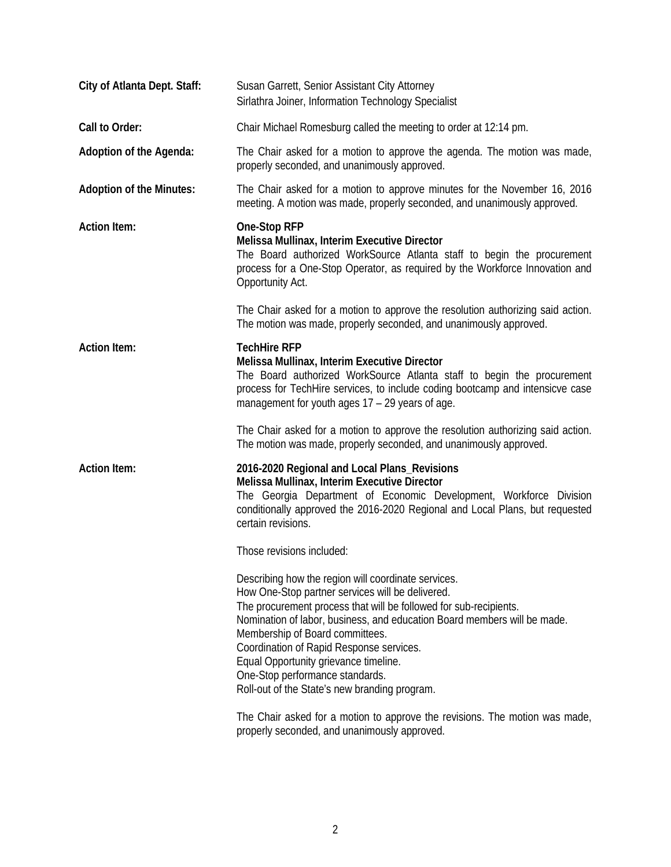| City of Atlanta Dept. Staff:    | Susan Garrett, Senior Assistant City Attorney<br>Sirlathra Joiner, Information Technology Specialist                                                                                                                                                                                                                                                                                                                                                                 |
|---------------------------------|----------------------------------------------------------------------------------------------------------------------------------------------------------------------------------------------------------------------------------------------------------------------------------------------------------------------------------------------------------------------------------------------------------------------------------------------------------------------|
| Call to Order:                  | Chair Michael Romesburg called the meeting to order at 12:14 pm.                                                                                                                                                                                                                                                                                                                                                                                                     |
| Adoption of the Agenda:         | The Chair asked for a motion to approve the agenda. The motion was made,<br>properly seconded, and unanimously approved.                                                                                                                                                                                                                                                                                                                                             |
| <b>Adoption of the Minutes:</b> | The Chair asked for a motion to approve minutes for the November 16, 2016<br>meeting. A motion was made, properly seconded, and unanimously approved.                                                                                                                                                                                                                                                                                                                |
| <b>Action Item:</b>             | One-Stop RFP<br>Melissa Mullinax, Interim Executive Director<br>The Board authorized WorkSource Atlanta staff to begin the procurement<br>process for a One-Stop Operator, as required by the Workforce Innovation and<br>Opportunity Act.                                                                                                                                                                                                                           |
|                                 | The Chair asked for a motion to approve the resolution authorizing said action.<br>The motion was made, properly seconded, and unanimously approved.                                                                                                                                                                                                                                                                                                                 |
| <b>Action Item:</b>             | <b>TechHire RFP</b><br>Melissa Mullinax, Interim Executive Director<br>The Board authorized WorkSource Atlanta staff to begin the procurement<br>process for TechHire services, to include coding bootcamp and intensicve case<br>management for youth ages 17 - 29 years of age.                                                                                                                                                                                    |
|                                 | The Chair asked for a motion to approve the resolution authorizing said action.<br>The motion was made, properly seconded, and unanimously approved.                                                                                                                                                                                                                                                                                                                 |
| <b>Action Item:</b>             | 2016-2020 Regional and Local Plans_Revisions<br>Melissa Mullinax, Interim Executive Director<br>The Georgia Department of Economic Development, Workforce Division<br>conditionally approved the 2016-2020 Regional and Local Plans, but requested<br>certain revisions.                                                                                                                                                                                             |
|                                 | Those revisions included:                                                                                                                                                                                                                                                                                                                                                                                                                                            |
|                                 | Describing how the region will coordinate services.<br>How One-Stop partner services will be delivered.<br>The procurement process that will be followed for sub-recipients.<br>Nomination of labor, business, and education Board members will be made.<br>Membership of Board committees.<br>Coordination of Rapid Response services.<br>Equal Opportunity grievance timeline.<br>One-Stop performance standards.<br>Roll-out of the State's new branding program. |
|                                 | The Chair asked for a motion to approve the revisions. The motion was made,<br>properly seconded, and unanimously approved.                                                                                                                                                                                                                                                                                                                                          |